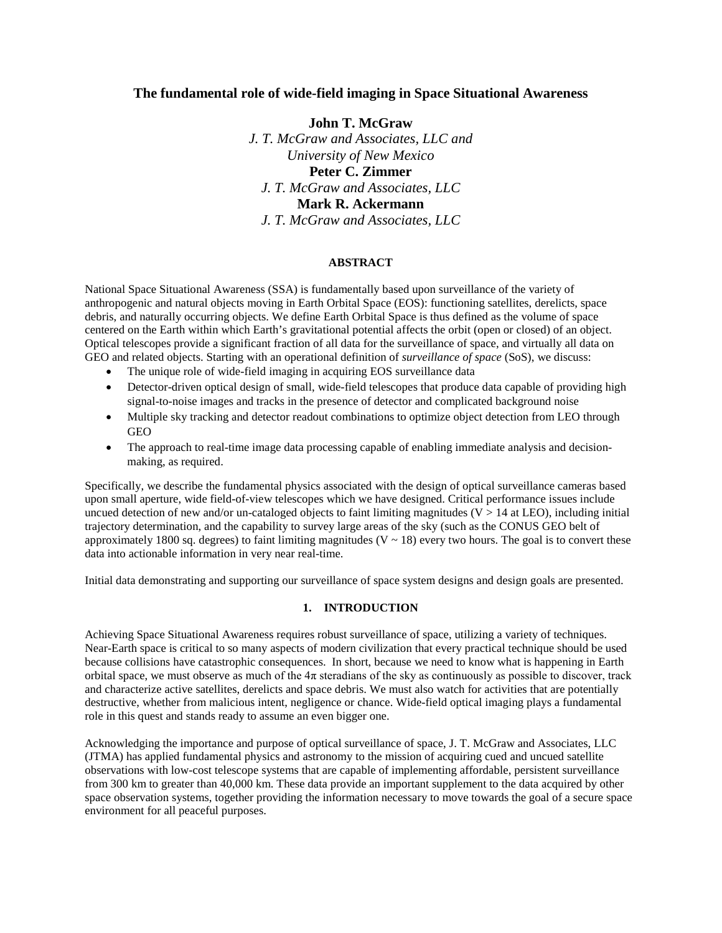# **The fundamental role of wide-field imaging in Space Situational Awareness**

**John T. McGraw** *J. T. McGraw and Associates, LLC and University of New Mexico* **Peter C. Zimmer** *J. T. McGraw and Associates, LLC* **Mark R. Ackermann** *J. T. McGraw and Associates, LLC*

#### **ABSTRACT**

National Space Situational Awareness (SSA) is fundamentally based upon surveillance of the variety of anthropogenic and natural objects moving in Earth Orbital Space (EOS): functioning satellites, derelicts, space debris, and naturally occurring objects. We define Earth Orbital Space is thus defined as the volume of space centered on the Earth within which Earth's gravitational potential affects the orbit (open or closed) of an object. Optical telescopes provide a significant fraction of all data for the surveillance of space, and virtually all data on GEO and related objects. Starting with an operational definition of *surveillance of space* (SoS), we discuss:

- The unique role of wide-field imaging in acquiring EOS surveillance data
- Detector-driven optical design of small, wide-field telescopes that produce data capable of providing high signal-to-noise images and tracks in the presence of detector and complicated background noise
- Multiple sky tracking and detector readout combinations to optimize object detection from LEO through **GEO**
- The approach to real-time image data processing capable of enabling immediate analysis and decisionmaking, as required.

Specifically, we describe the fundamental physics associated with the design of optical surveillance cameras based upon small aperture, wide field-of-view telescopes which we have designed. Critical performance issues include uncued detection of new and/or un-cataloged objects to faint limiting magnitudes ( $V > 14$  at LEO), including initial trajectory determination, and the capability to survey large areas of the sky (such as the CONUS GEO belt of approximately 1800 sq. degrees) to faint limiting magnitudes ( $V \sim 18$ ) every two hours. The goal is to convert these data into actionable information in very near real-time.

Initial data demonstrating and supporting our surveillance of space system designs and design goals are presented.

# **1. INTRODUCTION**

Achieving Space Situational Awareness requires robust surveillance of space, utilizing a variety of techniques. Near-Earth space is critical to so many aspects of modern civilization that every practical technique should be used because collisions have catastrophic consequences. In short, because we need to know what is happening in Earth orbital space, we must observe as much of the  $4\pi$  steradians of the sky as continuously as possible to discover, track and characterize active satellites, derelicts and space debris. We must also watch for activities that are potentially destructive, whether from malicious intent, negligence or chance. Wide-field optical imaging plays a fundamental role in this quest and stands ready to assume an even bigger one.

Acknowledging the importance and purpose of optical surveillance of space, J. T. McGraw and Associates, LLC (JTMA) has applied fundamental physics and astronomy to the mission of acquiring cued and uncued satellite observations with low-cost telescope systems that are capable of implementing affordable, persistent surveillance from 300 km to greater than 40,000 km. These data provide an important supplement to the data acquired by other space observation systems, together providing the information necessary to move towards the goal of a secure space environment for all peaceful purposes.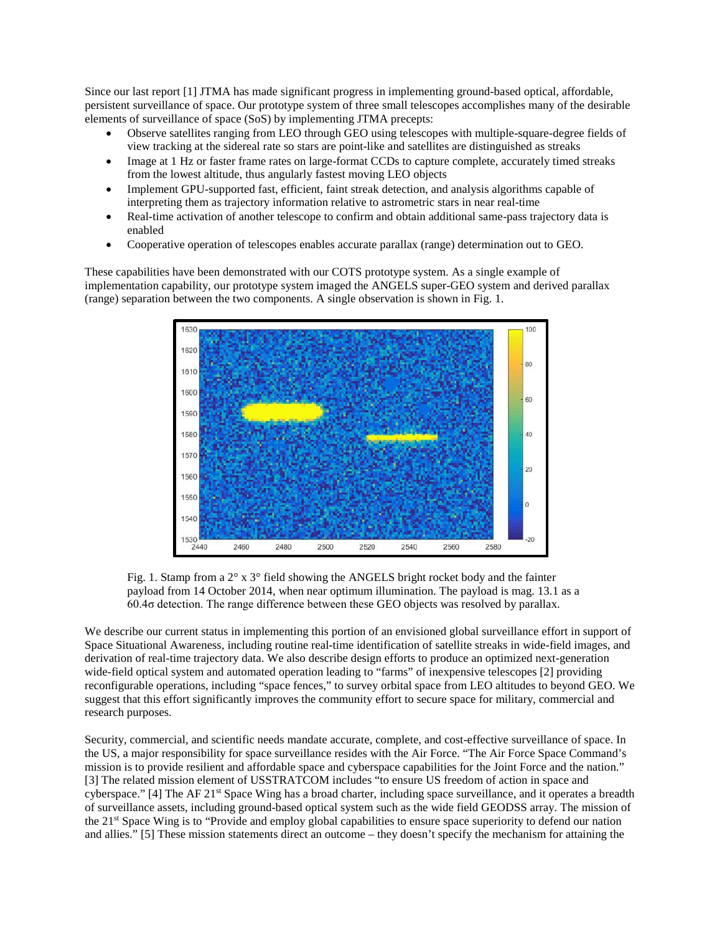Since our last report [1] JTMA has made significant progress in implementing ground-based optical, affordable, persistent surveillance of space. Our prototype system of three small telescopes accomplishes many of the desirable elements of surveillance of space (SoS) by implementing JTMA precepts:

- Observe satellites ranging from LEO through GEO using telescopes with multiple-square-degree fields of view tracking at the sidereal rate so stars are point-like and satellites are distinguished as streaks
- Image at 1 Hz or faster frame rates on large-format CCDs to capture complete, accurately timed streaks from the lowest altitude, thus angularly fastest moving LEO objects
- Implement GPU-supported fast, efficient, faint streak detection, and analysis algorithms capable of interpreting them as trajectory information relative to astrometric stars in near real-time
- Real-time activation of another telescope to confirm and obtain additional same-pass trajectory data is enabled
- Cooperative operation of telescopes enables accurate parallax (range) determination out to GEO.

These capabilities have been demonstrated with our COTS prototype system. As a single example of implementation capability, our prototype system imaged the ANGELS super-GEO system and derived parallax (range) separation between the two components. A single observation is shown in Fig. 1.



Fig. 1. Stamp from a 2° x 3° field showing the ANGELS bright rocket body and the fainter payload from 14 October 2014, when near optimum illumination. The payload is mag. 13.1 as a 60.4σ detection. The range difference between these GEO objects was resolved by parallax.

We describe our current status in implementing this portion of an envisioned global surveillance effort in support of Space Situational Awareness, including routine real-time identification of satellite streaks in wide-field images, and derivation of real-time trajectory data. We also describe design efforts to produce an optimized next-generation wide-field optical system and automated operation leading to "farms" of inexpensive telescopes [2] providing reconfigurable operations, including "space fences," to survey orbital space from LEO altitudes to beyond GEO. We suggest that this effort significantly improves the community effort to secure space for military, commercial and research purposes.

Security, commercial, and scientific needs mandate accurate, complete, and cost-effective surveillance of space. In the US, a major responsibility for space surveillance resides with the Air Force. "The Air Force Space Command's mission is to provide resilient and affordable space and cyberspace capabilities for the Joint Force and the nation." [3] The related mission element of USSTRATCOM includes "to ensure US freedom of action in space and cyberspace." [4] The AF 21st Space Wing has a broad charter, including space surveillance, and it operates a breadth of surveillance assets, including ground-based optical system such as the wide field GEODSS array. The mission of the 21st Space Wing is to "Provide and employ global capabilities to ensure space superiority to defend our nation and allies." [5] These mission statements direct an outcome – they doesn't specify the mechanism for attaining the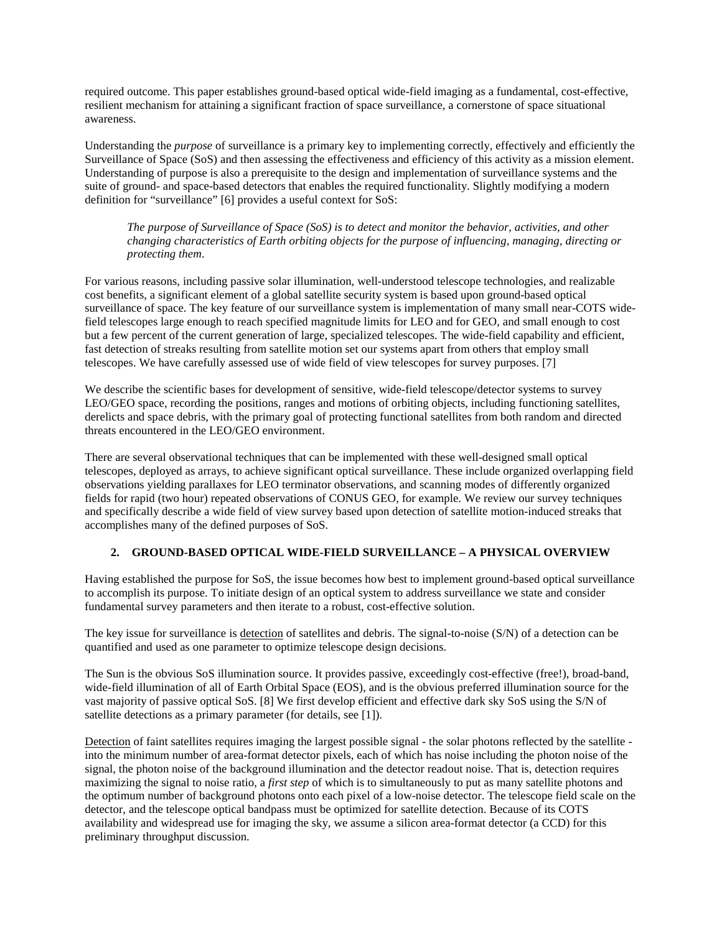required outcome. This paper establishes ground-based optical wide-field imaging as a fundamental, cost-effective, resilient mechanism for attaining a significant fraction of space surveillance, a cornerstone of space situational awareness.

Understanding the *purpose* of surveillance is a primary key to implementing correctly, effectively and efficiently the Surveillance of Space (SoS) and then assessing the effectiveness and efficiency of this activity as a mission element. Understanding of purpose is also a prerequisite to the design and implementation of surveillance systems and the suite of ground- and space-based detectors that enables the required functionality. Slightly modifying a modern definition for "surveillance" [6] provides a useful context for SoS:

*The purpose of Surveillance of Space (SoS) is to detect and monitor the behavior, activities, and other changing characteristics of Earth orbiting objects for the purpose of influencing, managing, directing or protecting them*.

For various reasons, including passive solar illumination, well-understood telescope technologies, and realizable cost benefits, a significant element of a global satellite security system is based upon ground-based optical surveillance of space. The key feature of our surveillance system is implementation of many small near-COTS widefield telescopes large enough to reach specified magnitude limits for LEO and for GEO, and small enough to cost but a few percent of the current generation of large, specialized telescopes. The wide-field capability and efficient, fast detection of streaks resulting from satellite motion set our systems apart from others that employ small telescopes. We have carefully assessed use of wide field of view telescopes for survey purposes. [7]

We describe the scientific bases for development of sensitive, wide-field telescope/detector systems to survey LEO/GEO space, recording the positions, ranges and motions of orbiting objects, including functioning satellites, derelicts and space debris, with the primary goal of protecting functional satellites from both random and directed threats encountered in the LEO/GEO environment.

There are several observational techniques that can be implemented with these well-designed small optical telescopes, deployed as arrays, to achieve significant optical surveillance. These include organized overlapping field observations yielding parallaxes for LEO terminator observations, and scanning modes of differently organized fields for rapid (two hour) repeated observations of CONUS GEO, for example. We review our survey techniques and specifically describe a wide field of view survey based upon detection of satellite motion-induced streaks that accomplishes many of the defined purposes of SoS.

# **2. GROUND-BASED OPTICAL WIDE-FIELD SURVEILLANCE – A PHYSICAL OVERVIEW**

Having established the purpose for SoS, the issue becomes how best to implement ground-based optical surveillance to accomplish its purpose. To initiate design of an optical system to address surveillance we state and consider fundamental survey parameters and then iterate to a robust, cost-effective solution.

The key issue for surveillance is detection of satellites and debris. The signal-to-noise (S/N) of a detection can be quantified and used as one parameter to optimize telescope design decisions.

The Sun is the obvious SoS illumination source. It provides passive, exceedingly cost-effective (free!), broad-band, wide-field illumination of all of Earth Orbital Space (EOS), and is the obvious preferred illumination source for the vast majority of passive optical SoS. [8] We first develop efficient and effective dark sky SoS using the S/N of satellite detections as a primary parameter (for details, see [1]).

Detection of faint satellites requires imaging the largest possible signal - the solar photons reflected by the satellite into the minimum number of area-format detector pixels, each of which has noise including the photon noise of the signal, the photon noise of the background illumination and the detector readout noise. That is, detection requires maximizing the signal to noise ratio, a *first step* of which is to simultaneously to put as many satellite photons and the optimum number of background photons onto each pixel of a low-noise detector. The telescope field scale on the detector, and the telescope optical bandpass must be optimized for satellite detection. Because of its COTS availability and widespread use for imaging the sky, we assume a silicon area-format detector (a CCD) for this preliminary throughput discussion.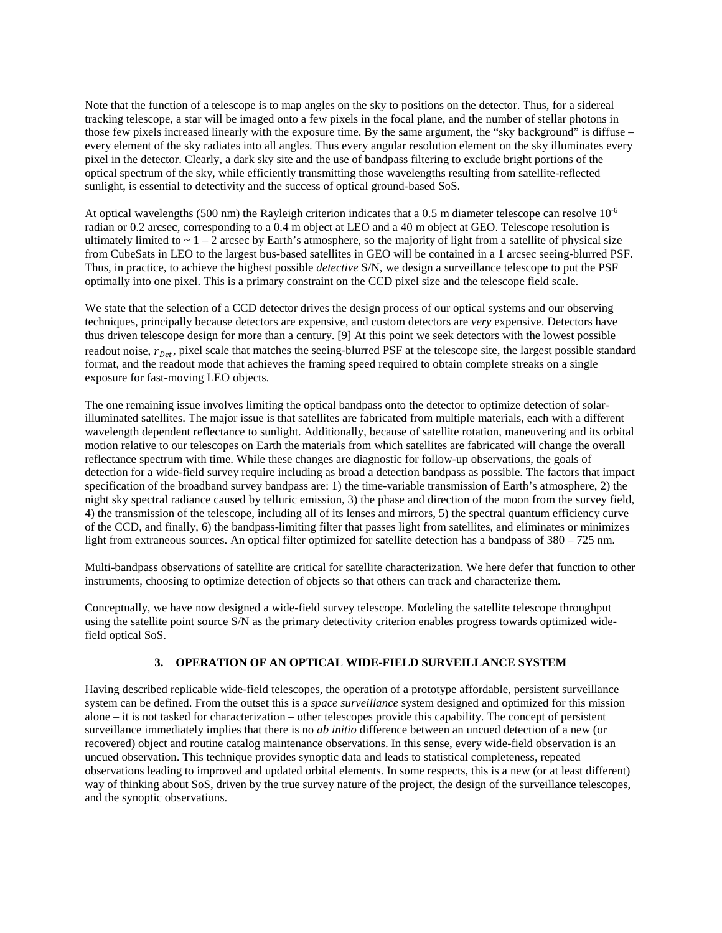Note that the function of a telescope is to map angles on the sky to positions on the detector. Thus, for a sidereal tracking telescope, a star will be imaged onto a few pixels in the focal plane, and the number of stellar photons in those few pixels increased linearly with the exposure time. By the same argument, the "sky background" is diffuse – every element of the sky radiates into all angles. Thus every angular resolution element on the sky illuminates every pixel in the detector. Clearly, a dark sky site and the use of bandpass filtering to exclude bright portions of the optical spectrum of the sky, while efficiently transmitting those wavelengths resulting from satellite-reflected sunlight, is essential to detectivity and the success of optical ground-based SoS.

At optical wavelengths (500 nm) the Rayleigh criterion indicates that a 0.5 m diameter telescope can resolve  $10^{-6}$ radian or 0.2 arcsec, corresponding to a 0.4 m object at LEO and a 40 m object at GEO. Telescope resolution is ultimately limited to  $\sim 1 - 2$  arcsec by Earth's atmosphere, so the majority of light from a satellite of physical size from CubeSats in LEO to the largest bus-based satellites in GEO will be contained in a 1 arcsec seeing-blurred PSF. Thus, in practice, to achieve the highest possible *detective* S/N, we design a surveillance telescope to put the PSF optimally into one pixel. This is a primary constraint on the CCD pixel size and the telescope field scale.

We state that the selection of a CCD detector drives the design process of our optical systems and our observing techniques, principally because detectors are expensive, and custom detectors are *very* expensive. Detectors have thus driven telescope design for more than a century. [9] At this point we seek detectors with the lowest possible readout noise,  $r_{\text{Det}}$ , pixel scale that matches the seeing-blurred PSF at the telescope site, the largest possible standard format, and the readout mode that achieves the framing speed required to obtain complete streaks on a single exposure for fast-moving LEO objects.

The one remaining issue involves limiting the optical bandpass onto the detector to optimize detection of solarilluminated satellites. The major issue is that satellites are fabricated from multiple materials, each with a different wavelength dependent reflectance to sunlight. Additionally, because of satellite rotation, maneuvering and its orbital motion relative to our telescopes on Earth the materials from which satellites are fabricated will change the overall reflectance spectrum with time. While these changes are diagnostic for follow-up observations, the goals of detection for a wide-field survey require including as broad a detection bandpass as possible. The factors that impact specification of the broadband survey bandpass are: 1) the time-variable transmission of Earth's atmosphere, 2) the night sky spectral radiance caused by telluric emission, 3) the phase and direction of the moon from the survey field, 4) the transmission of the telescope, including all of its lenses and mirrors, 5) the spectral quantum efficiency curve of the CCD, and finally, 6) the bandpass-limiting filter that passes light from satellites, and eliminates or minimizes light from extraneous sources. An optical filter optimized for satellite detection has a bandpass of 380 – 725 nm.

Multi-bandpass observations of satellite are critical for satellite characterization. We here defer that function to other instruments, choosing to optimize detection of objects so that others can track and characterize them.

Conceptually, we have now designed a wide-field survey telescope. Modeling the satellite telescope throughput using the satellite point source S/N as the primary detectivity criterion enables progress towards optimized widefield optical SoS.

#### **3. OPERATION OF AN OPTICAL WIDE-FIELD SURVEILLANCE SYSTEM**

Having described replicable wide-field telescopes, the operation of a prototype affordable, persistent surveillance system can be defined. From the outset this is a *space surveillance* system designed and optimized for this mission alone – it is not tasked for characterization – other telescopes provide this capability. The concept of persistent surveillance immediately implies that there is no *ab initio* difference between an uncued detection of a new (or recovered) object and routine catalog maintenance observations. In this sense, every wide-field observation is an uncued observation. This technique provides synoptic data and leads to statistical completeness, repeated observations leading to improved and updated orbital elements. In some respects, this is a new (or at least different) way of thinking about SoS, driven by the true survey nature of the project, the design of the surveillance telescopes, and the synoptic observations.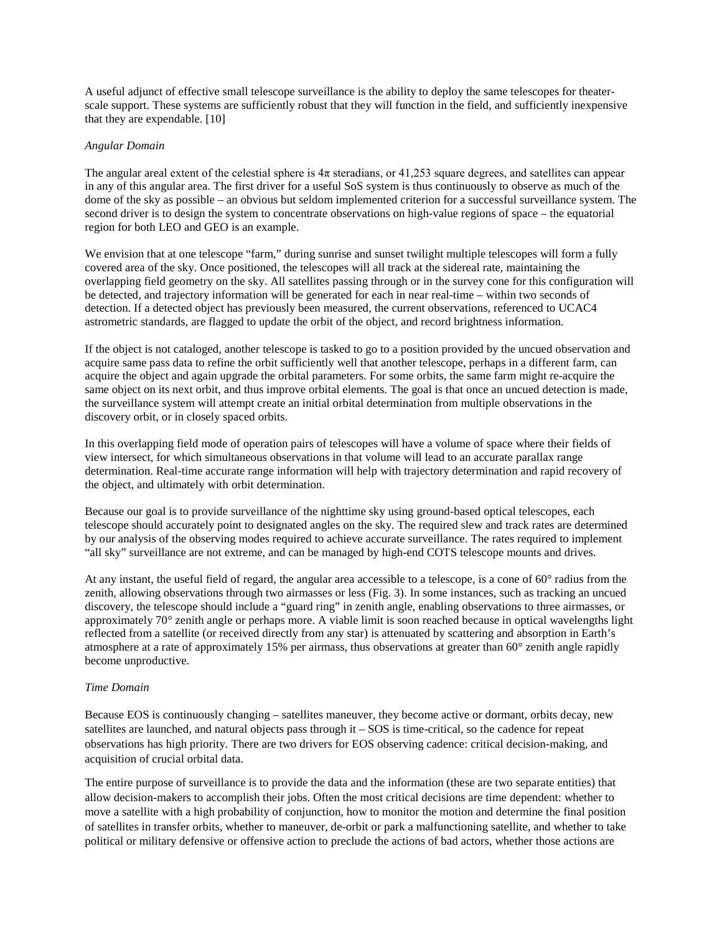A useful adjunct of effective small telescope surveillance is the ability to deploy the same telescopes for theaterscale support. These systems are sufficiently robust that they will function in the field, and sufficiently inexpensive that they are expendable. [10]

#### *Angular Domain*

The angular areal extent of the celestial sphere is  $4\pi$  steradians, or 41,253 square degrees, and satellites can appear in any of this angular area. The first driver for a useful SoS system is thus continuously to observe as much of the dome of the sky as possible – an obvious but seldom implemented criterion for a successful surveillance system. The second driver is to design the system to concentrate observations on high-value regions of space – the equatorial region for both LEO and GEO is an example.

We envision that at one telescope "farm," during sunrise and sunset twilight multiple telescopes will form a fully covered area of the sky. Once positioned, the telescopes will all track at the sidereal rate, maintaining the overlapping field geometry on the sky. All satellites passing through or in the survey cone for this configuration will be detected, and trajectory information will be generated for each in near real-time – within two seconds of detection. If a detected object has previously been measured, the current observations, referenced to UCAC4 astrometric standards, are flagged to update the orbit of the object, and record brightness information.

If the object is not cataloged, another telescope is tasked to go to a position provided by the uncued observation and acquire same pass data to refine the orbit sufficiently well that another telescope, perhaps in a different farm, can acquire the object and again upgrade the orbital parameters. For some orbits, the same farm might re-acquire the same object on its next orbit, and thus improve orbital elements. The goal is that once an uncued detection is made, the surveillance system will attempt create an initial orbital determination from multiple observations in the discovery orbit, or in closely spaced orbits.

In this overlapping field mode of operation pairs of telescopes will have a volume of space where their fields of view intersect, for which simultaneous observations in that volume will lead to an accurate parallax range determination. Real-time accurate range information will help with trajectory determination and rapid recovery of the object, and ultimately with orbit determination.

Because our goal is to provide surveillance of the nighttime sky using ground-based optical telescopes, each telescope should accurately point to designated angles on the sky. The required slew and track rates are determined by our analysis of the observing modes required to achieve accurate surveillance. The rates required to implement "all sky" surveillance are not extreme, and can be managed by high-end COTS telescope mounts and drives.

At any instant, the useful field of regard, the angular area accessible to a telescope, is a cone of 60° radius from the zenith, allowing observations through two airmasses or less (Fig. 3). In some instances, such as tracking an uncued discovery, the telescope should include a "guard ring" in zenith angle, enabling observations to three airmasses, or approximately 70° zenith angle or perhaps more. A viable limit is soon reached because in optical wavelengths light reflected from a satellite (or received directly from any star) is attenuated by scattering and absorption in Earth's atmosphere at a rate of approximately 15% per airmass, thus observations at greater than 60° zenith angle rapidly become unproductive.

#### *Time Domain*

Because EOS is continuously changing – satellites maneuver, they become active or dormant, orbits decay, new satellites are launched, and natural objects pass through it – SOS is time-critical, so the cadence for repeat observations has high priority. There are two drivers for EOS observing cadence: critical decision-making, and acquisition of crucial orbital data.

The entire purpose of surveillance is to provide the data and the information (these are two separate entities) that allow decision-makers to accomplish their jobs. Often the most critical decisions are time dependent: whether to move a satellite with a high probability of conjunction, how to monitor the motion and determine the final position of satellites in transfer orbits, whether to maneuver, de-orbit or park a malfunctioning satellite, and whether to take political or military defensive or offensive action to preclude the actions of bad actors, whether those actions are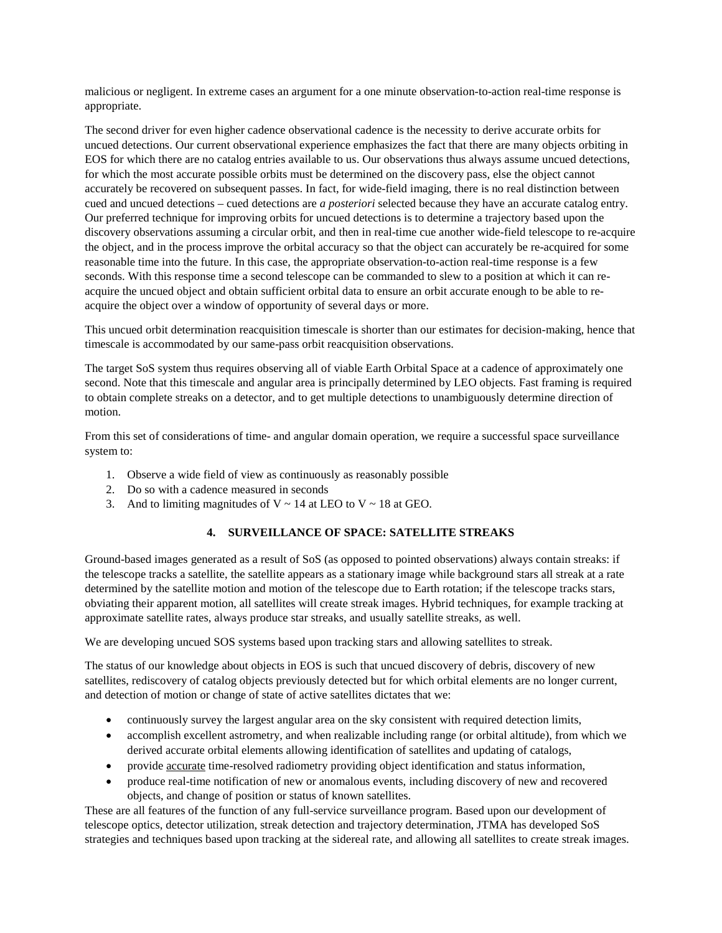malicious or negligent. In extreme cases an argument for a one minute observation-to-action real-time response is appropriate.

The second driver for even higher cadence observational cadence is the necessity to derive accurate orbits for uncued detections. Our current observational experience emphasizes the fact that there are many objects orbiting in EOS for which there are no catalog entries available to us. Our observations thus always assume uncued detections, for which the most accurate possible orbits must be determined on the discovery pass, else the object cannot accurately be recovered on subsequent passes. In fact, for wide-field imaging, there is no real distinction between cued and uncued detections – cued detections are *a posteriori* selected because they have an accurate catalog entry. Our preferred technique for improving orbits for uncued detections is to determine a trajectory based upon the discovery observations assuming a circular orbit, and then in real-time cue another wide-field telescope to re-acquire the object, and in the process improve the orbital accuracy so that the object can accurately be re-acquired for some reasonable time into the future. In this case, the appropriate observation-to-action real-time response is a few seconds. With this response time a second telescope can be commanded to slew to a position at which it can reacquire the uncued object and obtain sufficient orbital data to ensure an orbit accurate enough to be able to reacquire the object over a window of opportunity of several days or more.

This uncued orbit determination reacquisition timescale is shorter than our estimates for decision-making, hence that timescale is accommodated by our same-pass orbit reacquisition observations.

The target SoS system thus requires observing all of viable Earth Orbital Space at a cadence of approximately one second. Note that this timescale and angular area is principally determined by LEO objects. Fast framing is required to obtain complete streaks on a detector, and to get multiple detections to unambiguously determine direction of motion.

From this set of considerations of time- and angular domain operation, we require a successful space surveillance system to:

- 1. Observe a wide field of view as continuously as reasonably possible
- 2. Do so with a cadence measured in seconds
- 3. And to limiting magnitudes of  $V \sim 14$  at LEO to  $V \sim 18$  at GEO.

# **4. SURVEILLANCE OF SPACE: SATELLITE STREAKS**

Ground-based images generated as a result of SoS (as opposed to pointed observations) always contain streaks: if the telescope tracks a satellite, the satellite appears as a stationary image while background stars all streak at a rate determined by the satellite motion and motion of the telescope due to Earth rotation; if the telescope tracks stars, obviating their apparent motion, all satellites will create streak images. Hybrid techniques, for example tracking at approximate satellite rates, always produce star streaks, and usually satellite streaks, as well.

We are developing uncued SOS systems based upon tracking stars and allowing satellites to streak.

The status of our knowledge about objects in EOS is such that uncued discovery of debris, discovery of new satellites, rediscovery of catalog objects previously detected but for which orbital elements are no longer current, and detection of motion or change of state of active satellites dictates that we:

- continuously survey the largest angular area on the sky consistent with required detection limits,
- accomplish excellent astrometry, and when realizable including range (or orbital altitude), from which we derived accurate orbital elements allowing identification of satellites and updating of catalogs,
- provide accurate time-resolved radiometry providing object identification and status information,
- produce real-time notification of new or anomalous events, including discovery of new and recovered objects, and change of position or status of known satellites.

These are all features of the function of any full-service surveillance program. Based upon our development of telescope optics, detector utilization, streak detection and trajectory determination, JTMA has developed SoS strategies and techniques based upon tracking at the sidereal rate, and allowing all satellites to create streak images.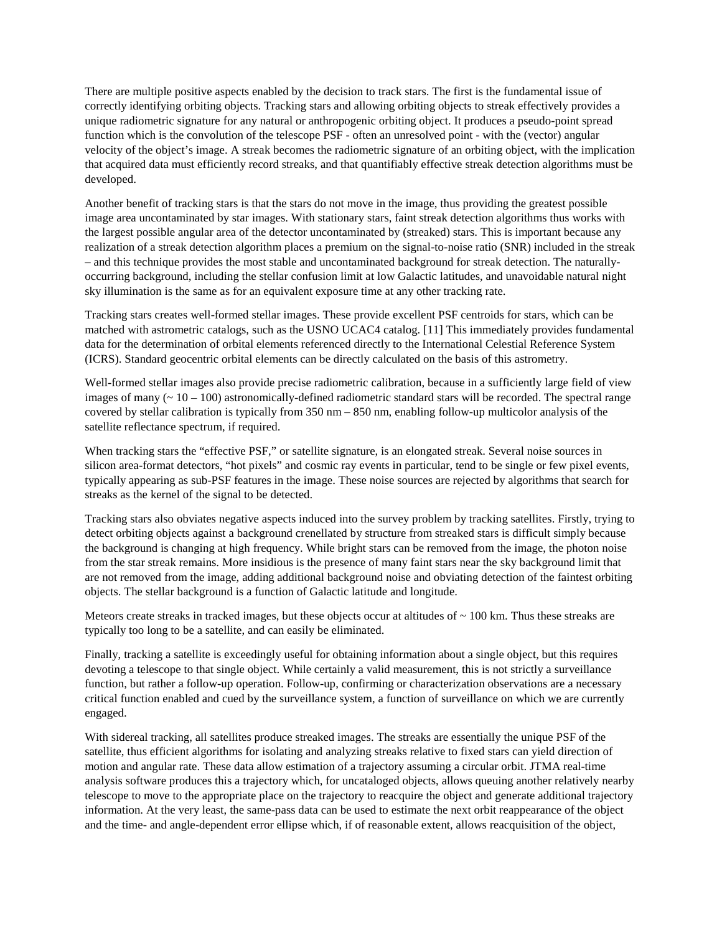There are multiple positive aspects enabled by the decision to track stars. The first is the fundamental issue of correctly identifying orbiting objects. Tracking stars and allowing orbiting objects to streak effectively provides a unique radiometric signature for any natural or anthropogenic orbiting object. It produces a pseudo-point spread function which is the convolution of the telescope PSF - often an unresolved point - with the (vector) angular velocity of the object's image. A streak becomes the radiometric signature of an orbiting object, with the implication that acquired data must efficiently record streaks, and that quantifiably effective streak detection algorithms must be developed.

Another benefit of tracking stars is that the stars do not move in the image, thus providing the greatest possible image area uncontaminated by star images. With stationary stars, faint streak detection algorithms thus works with the largest possible angular area of the detector uncontaminated by (streaked) stars. This is important because any realization of a streak detection algorithm places a premium on the signal-to-noise ratio (SNR) included in the streak – and this technique provides the most stable and uncontaminated background for streak detection. The naturallyoccurring background, including the stellar confusion limit at low Galactic latitudes, and unavoidable natural night sky illumination is the same as for an equivalent exposure time at any other tracking rate.

Tracking stars creates well-formed stellar images. These provide excellent PSF centroids for stars, which can be matched with astrometric catalogs, such as the USNO UCAC4 catalog. [11] This immediately provides fundamental data for the determination of orbital elements referenced directly to the International Celestial Reference System (ICRS). Standard geocentric orbital elements can be directly calculated on the basis of this astrometry.

Well-formed stellar images also provide precise radiometric calibration, because in a sufficiently large field of view images of many  $(2.10 - 100)$  astronomically-defined radiometric standard stars will be recorded. The spectral range covered by stellar calibration is typically from 350 nm – 850 nm, enabling follow-up multicolor analysis of the satellite reflectance spectrum, if required.

When tracking stars the "effective PSF," or satellite signature, is an elongated streak. Several noise sources in silicon area-format detectors, "hot pixels" and cosmic ray events in particular, tend to be single or few pixel events, typically appearing as sub-PSF features in the image. These noise sources are rejected by algorithms that search for streaks as the kernel of the signal to be detected.

Tracking stars also obviates negative aspects induced into the survey problem by tracking satellites. Firstly, trying to detect orbiting objects against a background crenellated by structure from streaked stars is difficult simply because the background is changing at high frequency. While bright stars can be removed from the image, the photon noise from the star streak remains. More insidious is the presence of many faint stars near the sky background limit that are not removed from the image, adding additional background noise and obviating detection of the faintest orbiting objects. The stellar background is a function of Galactic latitude and longitude.

Meteors create streaks in tracked images, but these objects occur at altitudes of  $\sim 100$  km. Thus these streaks are typically too long to be a satellite, and can easily be eliminated.

Finally, tracking a satellite is exceedingly useful for obtaining information about a single object, but this requires devoting a telescope to that single object. While certainly a valid measurement, this is not strictly a surveillance function, but rather a follow-up operation. Follow-up, confirming or characterization observations are a necessary critical function enabled and cued by the surveillance system, a function of surveillance on which we are currently engaged.

With sidereal tracking, all satellites produce streaked images. The streaks are essentially the unique PSF of the satellite, thus efficient algorithms for isolating and analyzing streaks relative to fixed stars can yield direction of motion and angular rate. These data allow estimation of a trajectory assuming a circular orbit. JTMA real-time analysis software produces this a trajectory which, for uncataloged objects, allows queuing another relatively nearby telescope to move to the appropriate place on the trajectory to reacquire the object and generate additional trajectory information. At the very least, the same-pass data can be used to estimate the next orbit reappearance of the object and the time- and angle-dependent error ellipse which, if of reasonable extent, allows reacquisition of the object,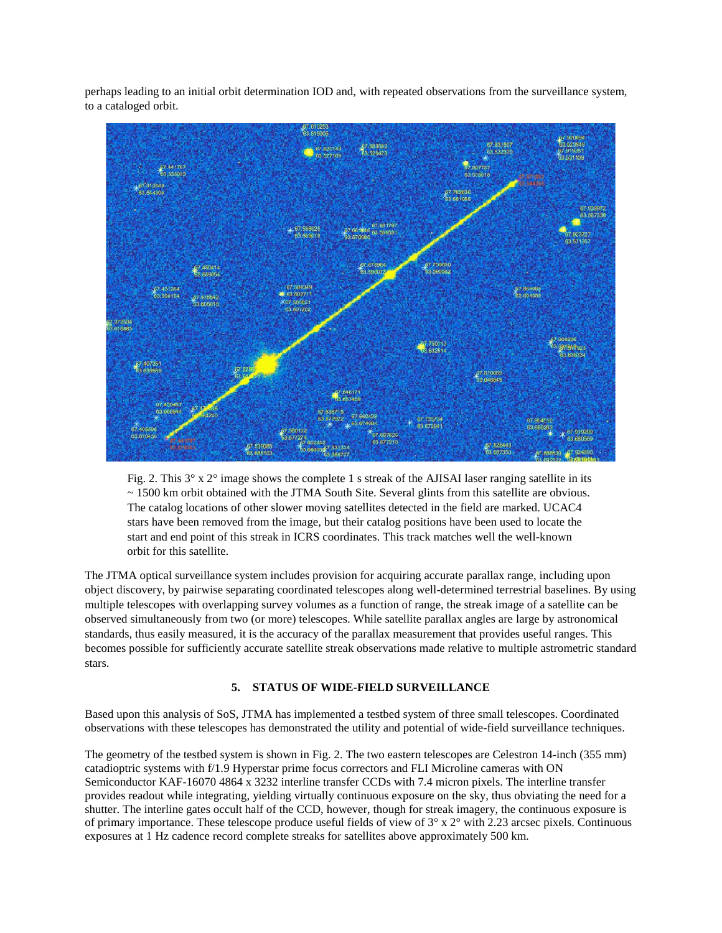perhaps leading to an initial orbit determination IOD and, with repeated observations from the surveillance system, to a cataloged orbit.



Fig. 2. This  $3^\circ$  x  $2^\circ$  image shows the complete 1 s streak of the AJISAI laser ranging satellite in its ~ 1500 km orbit obtained with the JTMA South Site. Several glints from this satellite are obvious. The catalog locations of other slower moving satellites detected in the field are marked. UCAC4 stars have been removed from the image, but their catalog positions have been used to locate the start and end point of this streak in ICRS coordinates. This track matches well the well-known orbit for this satellite.

The JTMA optical surveillance system includes provision for acquiring accurate parallax range, including upon object discovery, by pairwise separating coordinated telescopes along well-determined terrestrial baselines. By using multiple telescopes with overlapping survey volumes as a function of range, the streak image of a satellite can be observed simultaneously from two (or more) telescopes. While satellite parallax angles are large by astronomical standards, thus easily measured, it is the accuracy of the parallax measurement that provides useful ranges. This becomes possible for sufficiently accurate satellite streak observations made relative to multiple astrometric standard stars.

# **5. STATUS OF WIDE-FIELD SURVEILLANCE**

Based upon this analysis of SoS, JTMA has implemented a testbed system of three small telescopes. Coordinated observations with these telescopes has demonstrated the utility and potential of wide-field surveillance techniques.

The geometry of the testbed system is shown in Fig. 2. The two eastern telescopes are Celestron 14-inch (355 mm) catadioptric systems with f/1.9 Hyperstar prime focus correctors and FLI Microline cameras with ON Semiconductor KAF-16070 4864 x 3232 interline transfer CCDs with 7.4 micron pixels. The interline transfer provides readout while integrating, yielding virtually continuous exposure on the sky, thus obviating the need for a shutter. The interline gates occult half of the CCD, however, though for streak imagery, the continuous exposure is of primary importance. These telescope produce useful fields of view of  $3^\circ \times 2^\circ$  with 2.23 arcsec pixels. Continuous exposures at 1 Hz cadence record complete streaks for satellites above approximately 500 km.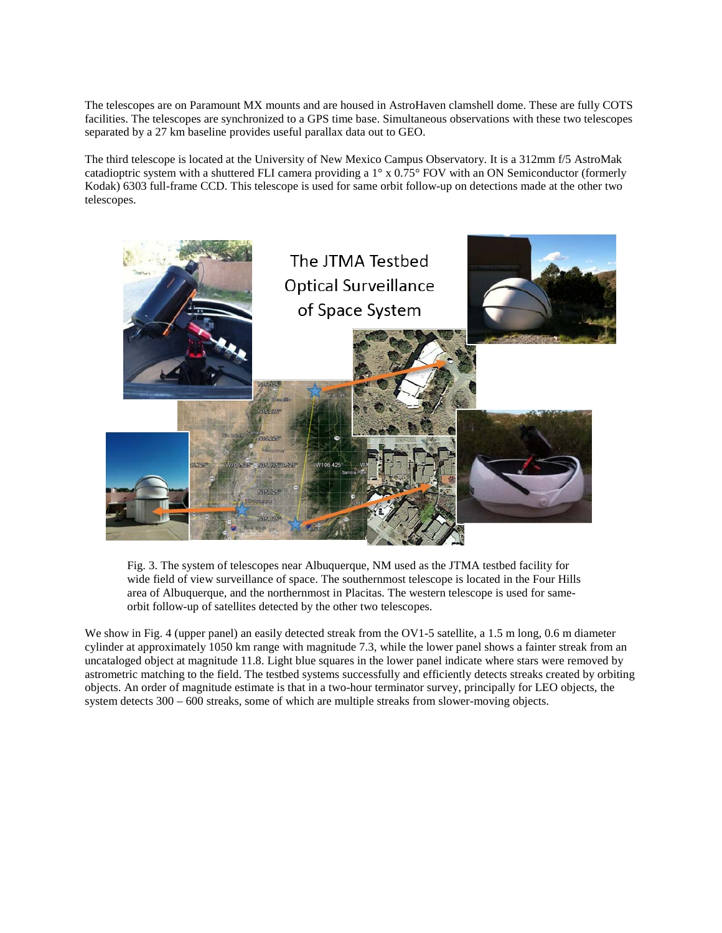The telescopes are on Paramount MX mounts and are housed in AstroHaven clamshell dome. These are fully COTS facilities. The telescopes are synchronized to a GPS time base. Simultaneous observations with these two telescopes separated by a 27 km baseline provides useful parallax data out to GEO.

The third telescope is located at the University of New Mexico Campus Observatory. It is a 312mm f/5 AstroMak catadioptric system with a shuttered FLI camera providing a 1° x 0.75° FOV with an ON Semiconductor (formerly Kodak) 6303 full-frame CCD. This telescope is used for same orbit follow-up on detections made at the other two telescopes.



Fig. 3. The system of telescopes near Albuquerque, NM used as the JTMA testbed facility for wide field of view surveillance of space. The southernmost telescope is located in the Four Hills area of Albuquerque, and the northernmost in Placitas. The western telescope is used for sameorbit follow-up of satellites detected by the other two telescopes.

We show in Fig. 4 (upper panel) an easily detected streak from the OV1-5 satellite, a 1.5 m long, 0.6 m diameter cylinder at approximately 1050 km range with magnitude 7.3, while the lower panel shows a fainter streak from an uncataloged object at magnitude 11.8. Light blue squares in the lower panel indicate where stars were removed by astrometric matching to the field. The testbed systems successfully and efficiently detects streaks created by orbiting objects. An order of magnitude estimate is that in a two-hour terminator survey, principally for LEO objects, the system detects 300 – 600 streaks, some of which are multiple streaks from slower-moving objects.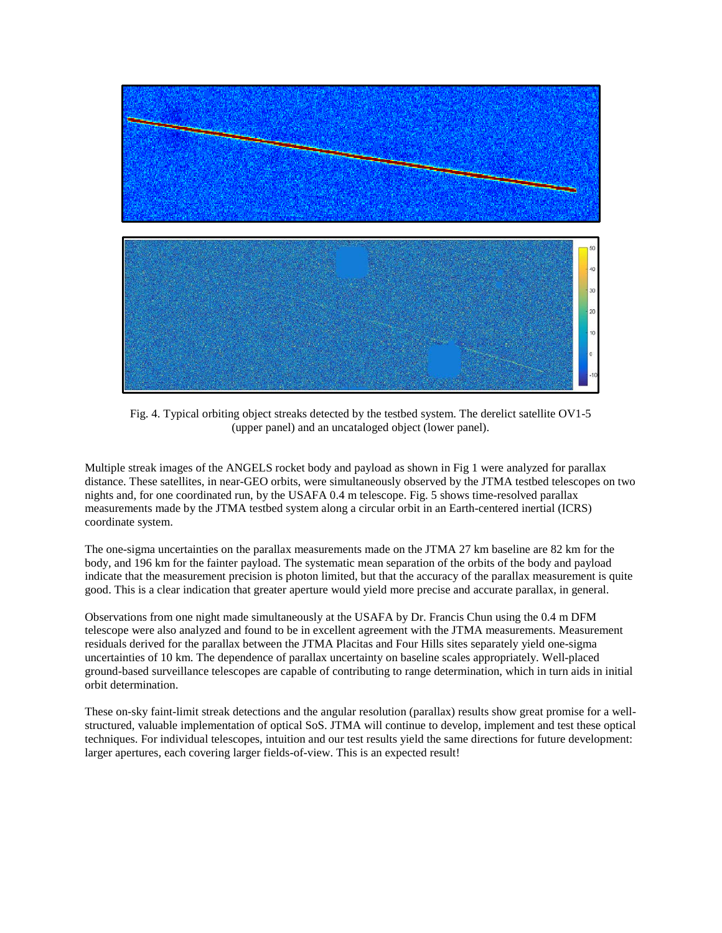

Fig. 4. Typical orbiting object streaks detected by the testbed system. The derelict satellite OV1-5 (upper panel) and an uncataloged object (lower panel).

Multiple streak images of the ANGELS rocket body and payload as shown in Fig 1 were analyzed for parallax distance. These satellites, in near-GEO orbits, were simultaneously observed by the JTMA testbed telescopes on two nights and, for one coordinated run, by the USAFA 0.4 m telescope. Fig. 5 shows time-resolved parallax measurements made by the JTMA testbed system along a circular orbit in an Earth-centered inertial (ICRS) coordinate system.

The one-sigma uncertainties on the parallax measurements made on the JTMA 27 km baseline are 82 km for the body, and 196 km for the fainter payload. The systematic mean separation of the orbits of the body and payload indicate that the measurement precision is photon limited, but that the accuracy of the parallax measurement is quite good. This is a clear indication that greater aperture would yield more precise and accurate parallax, in general.

Observations from one night made simultaneously at the USAFA by Dr. Francis Chun using the 0.4 m DFM telescope were also analyzed and found to be in excellent agreement with the JTMA measurements. Measurement residuals derived for the parallax between the JTMA Placitas and Four Hills sites separately yield one-sigma uncertainties of 10 km. The dependence of parallax uncertainty on baseline scales appropriately. Well-placed ground-based surveillance telescopes are capable of contributing to range determination, which in turn aids in initial orbit determination.

These on-sky faint-limit streak detections and the angular resolution (parallax) results show great promise for a wellstructured, valuable implementation of optical SoS. JTMA will continue to develop, implement and test these optical techniques. For individual telescopes, intuition and our test results yield the same directions for future development: larger apertures, each covering larger fields-of-view. This is an expected result!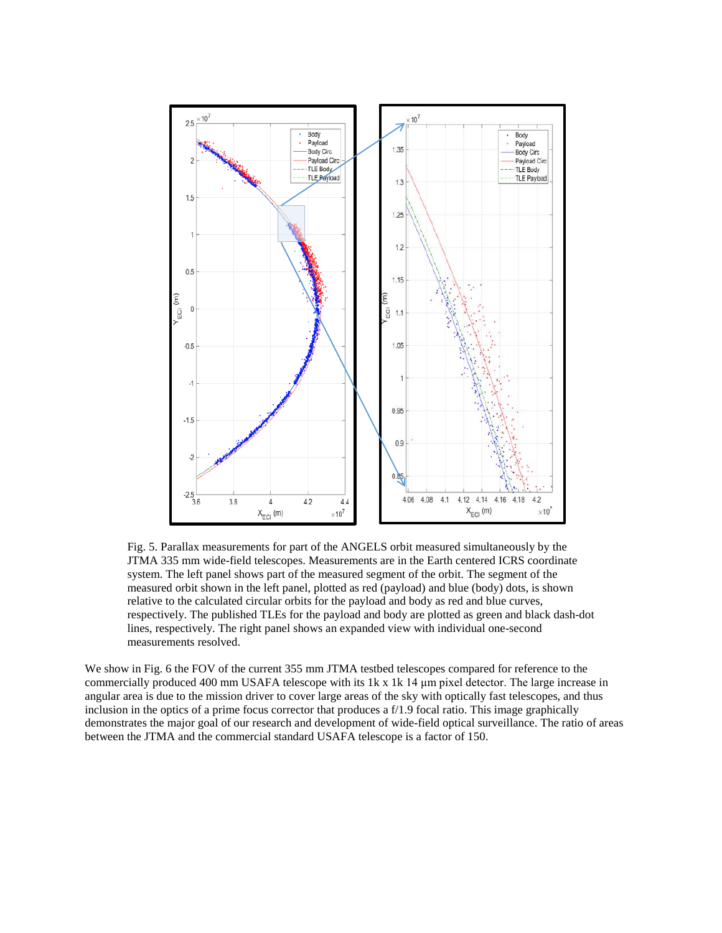

Fig. 5. Parallax measurements for part of the ANGELS orbit measured simultaneously by the JTMA 335 mm wide-field telescopes. Measurements are in the Earth centered ICRS coordinate system. The left panel shows part of the measured segment of the orbit. The segment of the measured orbit shown in the left panel, plotted as red (payload) and blue (body) dots, is shown relative to the calculated circular orbits for the payload and body as red and blue curves, respectively. The published TLEs for the payload and body are plotted as green and black dash-dot lines, respectively. The right panel shows an expanded view with individual one-second measurements resolved.

We show in Fig. 6 the FOV of the current 355 mm JTMA testbed telescopes compared for reference to the commercially produced 400 mm USAFA telescope with its 1k x 1k 14 μm pixel detector. The large increase in angular area is due to the mission driver to cover large areas of the sky with optically fast telescopes, and thus inclusion in the optics of a prime focus corrector that produces a f/1.9 focal ratio. This image graphically demonstrates the major goal of our research and development of wide-field optical surveillance. The ratio of areas between the JTMA and the commercial standard USAFA telescope is a factor of 150.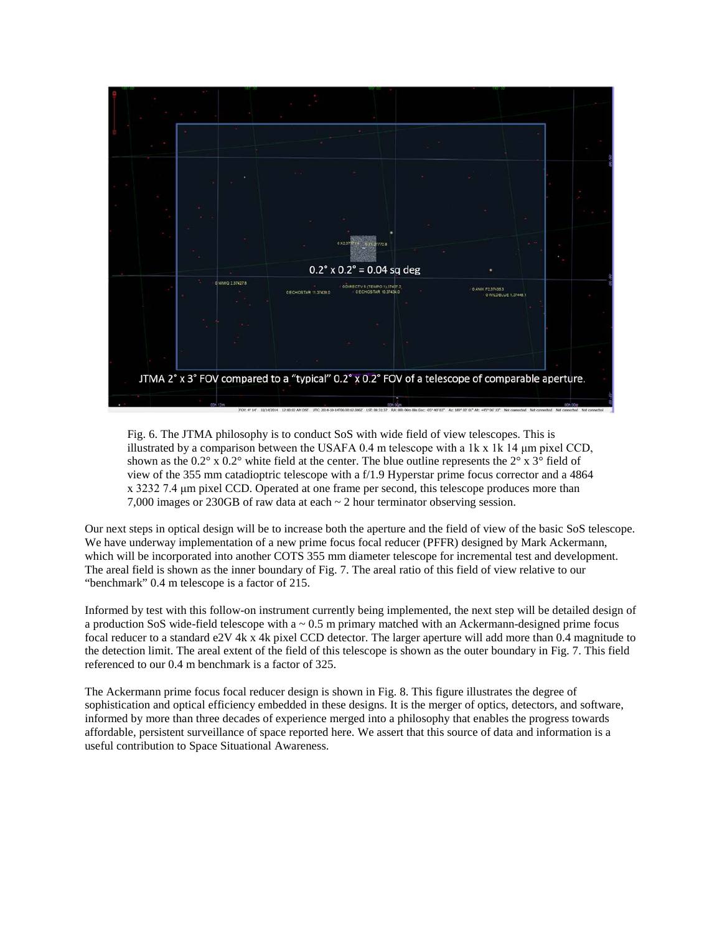

Fig. 6. The JTMA philosophy is to conduct SoS with wide field of view telescopes. This is illustrated by a comparison between the USAFA 0.4 m telescope with a 1k  $x$  1k 14  $\mu$ m pixel CCD, shown as the  $0.2^{\circ}$  x  $0.2^{\circ}$  white field at the center. The blue outline represents the  $2^{\circ}$  x  $3^{\circ}$  field of view of the 355 mm catadioptric telescope with a f/1.9 Hyperstar prime focus corrector and a 4864 x 3232 7.4 μm pixel CCD. Operated at one frame per second, this telescope produces more than 7,000 images or 230GB of raw data at each ~ 2 hour terminator observing session.

Our next steps in optical design will be to increase both the aperture and the field of view of the basic SoS telescope. We have underway implementation of a new prime focus focal reducer (PFFR) designed by Mark Ackermann, which will be incorporated into another COTS 355 mm diameter telescope for incremental test and development. The areal field is shown as the inner boundary of Fig. 7. The areal ratio of this field of view relative to our "benchmark" 0.4 m telescope is a factor of 215.

Informed by test with this follow-on instrument currently being implemented, the next step will be detailed design of a production SoS wide-field telescope with  $a \sim 0.5$  m primary matched with an Ackermann-designed prime focus focal reducer to a standard e2V 4k x 4k pixel CCD detector. The larger aperture will add more than 0.4 magnitude to the detection limit. The areal extent of the field of this telescope is shown as the outer boundary in Fig. 7. This field referenced to our 0.4 m benchmark is a factor of 325.

The Ackermann prime focus focal reducer design is shown in Fig. 8. This figure illustrates the degree of sophistication and optical efficiency embedded in these designs. It is the merger of optics, detectors, and software, informed by more than three decades of experience merged into a philosophy that enables the progress towards affordable, persistent surveillance of space reported here. We assert that this source of data and information is a useful contribution to Space Situational Awareness.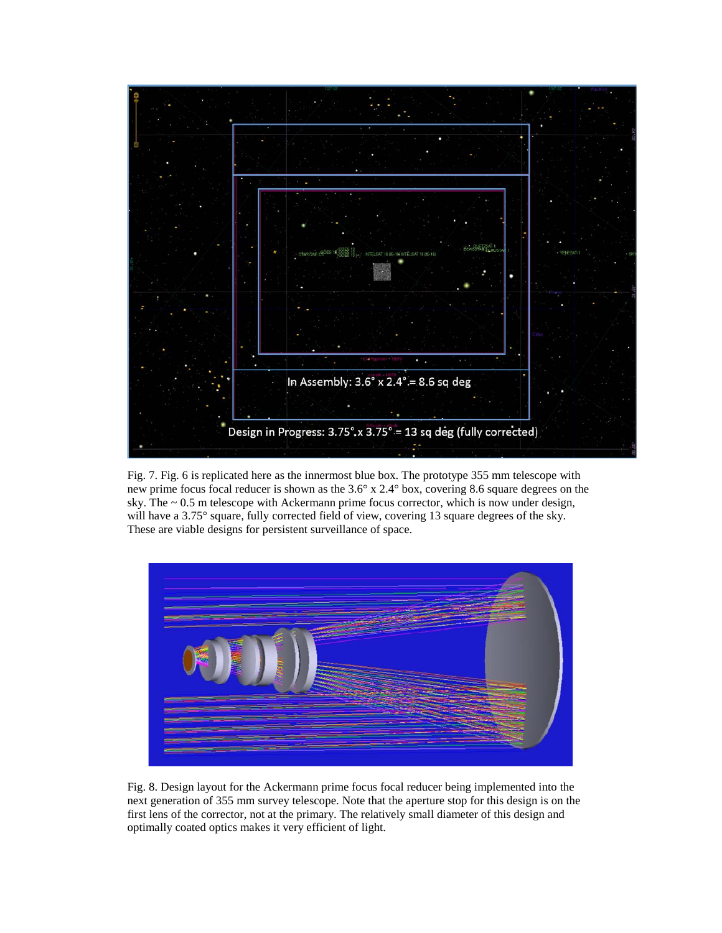

Fig. 7. Fig. 6 is replicated here as the innermost blue box. The prototype 355 mm telescope with new prime focus focal reducer is shown as the 3.6° x 2.4° box, covering 8.6 square degrees on the sky. The  $\sim 0.5$  m telescope with Ackermann prime focus corrector, which is now under design, will have a 3.75° square, fully corrected field of view, covering 13 square degrees of the sky. These are viable designs for persistent surveillance of space.



Fig. 8. Design layout for the Ackermann prime focus focal reducer being implemented into the next generation of 355 mm survey telescope. Note that the aperture stop for this design is on the first lens of the corrector, not at the primary. The relatively small diameter of this design and optimally coated optics makes it very efficient of light.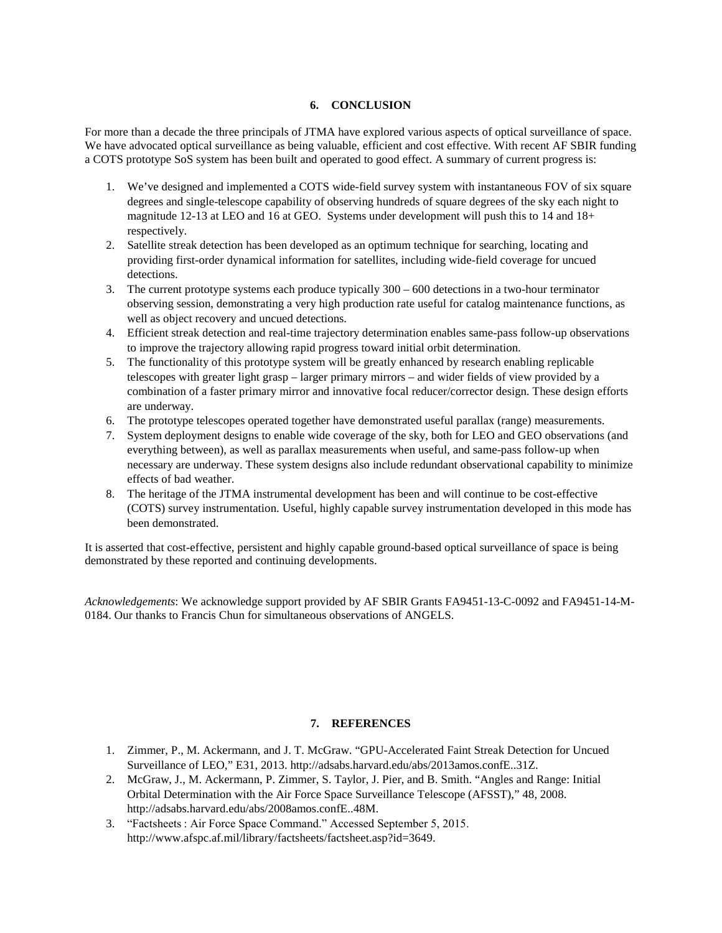# **6. CONCLUSION**

For more than a decade the three principals of JTMA have explored various aspects of optical surveillance of space. We have advocated optical surveillance as being valuable, efficient and cost effective. With recent AF SBIR funding a COTS prototype SoS system has been built and operated to good effect. A summary of current progress is:

- 1. We've designed and implemented a COTS wide-field survey system with instantaneous FOV of six square degrees and single-telescope capability of observing hundreds of square degrees of the sky each night to magnitude 12-13 at LEO and 16 at GEO. Systems under development will push this to 14 and 18+ respectively.
- 2. Satellite streak detection has been developed as an optimum technique for searching, locating and providing first-order dynamical information for satellites, including wide-field coverage for uncued detections.
- 3. The current prototype systems each produce typically 300 600 detections in a two-hour terminator observing session, demonstrating a very high production rate useful for catalog maintenance functions, as well as object recovery and uncued detections.
- 4. Efficient streak detection and real-time trajectory determination enables same-pass follow-up observations to improve the trajectory allowing rapid progress toward initial orbit determination.
- 5. The functionality of this prototype system will be greatly enhanced by research enabling replicable telescopes with greater light grasp – larger primary mirrors – and wider fields of view provided by a combination of a faster primary mirror and innovative focal reducer/corrector design. These design efforts are underway.
- 6. The prototype telescopes operated together have demonstrated useful parallax (range) measurements.
- 7. System deployment designs to enable wide coverage of the sky, both for LEO and GEO observations (and everything between), as well as parallax measurements when useful, and same-pass follow-up when necessary are underway. These system designs also include redundant observational capability to minimize effects of bad weather.
- 8. The heritage of the JTMA instrumental development has been and will continue to be cost-effective (COTS) survey instrumentation. Useful, highly capable survey instrumentation developed in this mode has been demonstrated.

It is asserted that cost-effective, persistent and highly capable ground-based optical surveillance of space is being demonstrated by these reported and continuing developments.

*Acknowledgements*: We acknowledge support provided by AF SBIR Grants FA9451-13-C-0092 and FA9451-14-M-0184. Our thanks to Francis Chun for simultaneous observations of ANGELS.

# **7. REFERENCES**

- 1. Zimmer, P., M. Ackermann, and J. T. McGraw. "GPU-Accelerated Faint Streak Detection for Uncued Surveillance of LEO," E31, 2013. http://adsabs.harvard.edu/abs/2013amos.confE..31Z.
- 2. McGraw, J., M. Ackermann, P. Zimmer, S. Taylor, J. Pier, and B. Smith. "Angles and Range: Initial Orbital Determination with the Air Force Space Surveillance Telescope (AFSST)," 48, 2008. http://adsabs.harvard.edu/abs/2008amos.confE..48M.
- 3. "Factsheets : Air Force Space Command." Accessed September 5, 2015. http://www.afspc.af.mil/library/factsheets/factsheet.asp?id=3649.